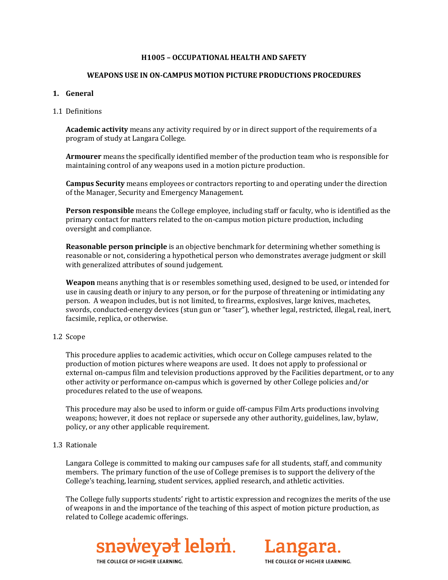## **H1005 – OCCUPATIONAL HEALTH AND SAFETY**

### **WEAPONS USE IN ON-CAMPUS MOTION PICTURE PRODUCTIONS PROCEDURES**

### **1. General**

### 1.1 Definitions

**Academic activity** means any activity required by or in direct support of the requirements of a program of study at Langara College.

**Armourer** means the specifically identified member of the production team who is responsible for maintaining control of any weapons used in a motion picture production.

**Campus Security** means employees or contractors reporting to and operating under the direction of the Manager, Security and Emergency Management.

**Person responsible** means the College employee, including staff or faculty, who is identified as the primary contact for matters related to the on-campus motion picture production, including oversight and compliance.

**Reasonable person principle** is an objective benchmark for determining whether something is reasonable or not, considering a hypothetical person who demonstrates average judgment or skill with generalized attributes of sound judgement.

**Weapon** means anything that is or resembles something used, designed to be used, or intended for use in causing death or injury to any person, or for the purpose of threatening or intimidating any person. A weapon includes, but is not limited, to firearms, explosives, large knives, machetes, swords, conducted-energy devices (stun gun or "taser"), whether legal, restricted, illegal, real, inert, facsimile, replica, or otherwise.

#### 1.2 Scope

This procedure applies to academic activities, which occur on College campuses related to the production of motion pictures where weapons are used. It does not apply to professional or external on-campus film and television productions approved by the Facilities department, or to any other activity or performance on-campus which is governed by other College policies and/or procedures related to the use of weapons.

This procedure may also be used to inform or guide off-campus Film Arts productions involving weapons; however, it does not replace or supersede any other authority, guidelines, law, bylaw, policy, or any other applicable requirement.

#### 1.3 Rationale

Langara College is committed to making our campuses safe for all students, staff, and community members. The primary function of the use of College premises is to support the delivery of the College's teaching, learning, student services, applied research, and athletic activities.

The College fully supports students' right to artistic expression and recognizes the merits of the use of weapons in and the importance of the teaching of this aspect of motion picture production, as related to College academic offerings.



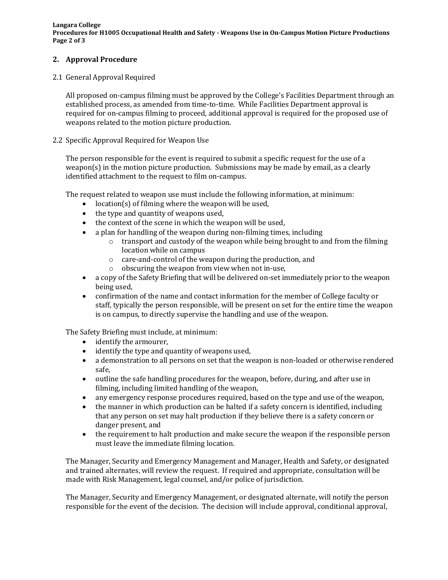**Langara College Procedures for H1005 Occupational Health and Safety - Weapons Use in On-Campus Motion Picture Productions Page 2 of 3**

# **2. Approval Procedure**

# 2.1 General Approval Required

All proposed on-campus filming must be approved by the College's Facilities Department through an established process, as amended from time-to-time. While Facilities Department approval is required for on-campus filming to proceed, additional approval is required for the proposed use of weapons related to the motion picture production.

# 2.2 Specific Approval Required for Weapon Use

The person responsible for the event is required to submit a specific request for the use of a weapon(s) in the motion picture production. Submissions may be made by email, as a clearly identified attachment to the request to film on-campus.

The request related to weapon use must include the following information, at minimum:

- location(s) of filming where the weapon will be used,
- the type and quantity of weapons used,
- the context of the scene in which the weapon will be used.
- a plan for handling of the weapon during non-filming times, including
	- $\circ$  transport and custody of the weapon while being brought to and from the filming location while on campus
	- o care-and-control of the weapon during the production, and
	- o obscuring the weapon from view when not in-use,
- a copy of the Safety Briefing that will be delivered on-set immediately prior to the weapon being used,
- confirmation of the name and contact information for the member of College faculty or staff, typically the person responsible, will be present on set for the entire time the weapon is on campus, to directly supervise the handling and use of the weapon.

The Safety Briefing must include, at minimum:

- identify the armourer,
- identify the type and quantity of weapons used,
- a demonstration to all persons on set that the weapon is non-loaded or otherwise rendered safe,
- outline the safe handling procedures for the weapon, before, during, and after use in filming, including limited handling of the weapon,
- any emergency response procedures required, based on the type and use of the weapon,<br>• the manner in which production can be halted if a safety concern is identified including
- the manner in which production can be halted if a safety concern is identified, including that any person on set may halt production if they believe there is a safety concern or danger present, and
- the requirement to halt production and make secure the weapon if the responsible person must leave the immediate filming location.

The Manager, Security and Emergency Management and Manager, Health and Safety, or designated and trained alternates, will review the request. If required and appropriate, consultation will be made with Risk Management, legal counsel, and/or police of jurisdiction.

The Manager, Security and Emergency Management, or designated alternate, will notify the person responsible for the event of the decision. The decision will include approval, conditional approval,